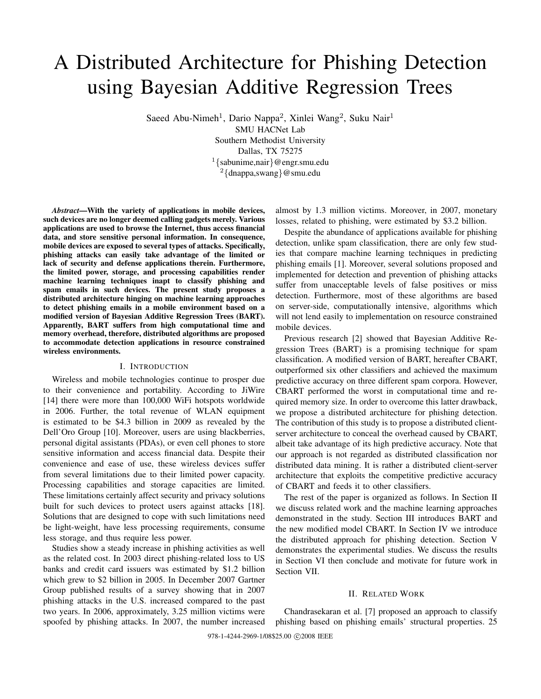# A Distributed Architecture for Phishing Detection using Bayesian Additive Regression Trees

Saeed Abu-Nimeh<sup>1</sup>, Dario Nappa<sup>2</sup>, Xinlei Wang<sup>2</sup>, Suku Nair<sup>1</sup>

SMU HACNet Lab Southern Methodist University Dallas, TX 75275  $1$ {sabunime,nair}@engr.smu.edu  $^{2}$ {dnappa,swang}@smu.edu

*Abstract*—With the variety of applications in mobile devices, such devices are no longer deemed calling gadgets merely. Various applications are used to browse the Internet, thus access financial data, and store sensitive personal information. In consequence, mobile devices are exposed to several types of attacks. Specifically, phishing attacks can easily take advantage of the limited or lack of security and defense applications therein. Furthermore, the limited power, storage, and processing capabilities render machine learning techniques inapt to classify phishing and spam emails in such devices. The present study proposes a distributed architecture hinging on machine learning approaches to detect phishing emails in a mobile environment based on a modified version of Bayesian Additive Regression Trees (BART). Apparently, BART suffers from high computational time and memory overhead, therefore, distributed algorithms are proposed to accommodate detection applications in resource constrained wireless environments.

# I. INTRODUCTION

Wireless and mobile technologies continue to prosper due to their convenience and portability. According to JiWire [14] there were more than 100,000 WiFi hotspots worldwide in 2006. Further, the total revenue of WLAN equipment is estimated to be \$4.3 billion in 2009 as revealed by the Dell'Oro Group [10]. Moreover, users are using blackberries, personal digital assistants (PDAs), or even cell phones to store sensitive information and access financial data. Despite their convenience and ease of use, these wireless devices suffer from several limitations due to their limited power capacity. Processing capabilities and storage capacities are limited. These limitations certainly affect security and privacy solutions built for such devices to protect users against attacks [18]. Solutions that are designed to cope with such limitations need be light-weight, have less processing requirements, consume less storage, and thus require less power.

Studies show a steady increase in phishing activities as well as the related cost. In 2003 direct phishing-related loss to US banks and credit card issuers was estimated by \$1.2 billion which grew to \$2 billion in 2005. In December 2007 Gartner Group published results of a survey showing that in 2007 phishing attacks in the U.S. increased compared to the past two years. In 2006, approximately, 3.25 million victims were spoofed by phishing attacks. In 2007, the number increased almost by 1.3 million victims. Moreover, in 2007, monetary losses, related to phishing, were estimated by \$3.2 billion.

Despite the abundance of applications available for phishing detection, unlike spam classification, there are only few studies that compare machine learning techniques in predicting phishing emails [1]. Moreover, several solutions proposed and implemented for detection and prevention of phishing attacks suffer from unacceptable levels of false positives or miss detection. Furthermore, most of these algorithms are based on server-side, computationally intensive, algorithms which will not lend easily to implementation on resource constrained mobile devices.

Previous research [2] showed that Bayesian Additive Regression Trees (BART) is a promising technique for spam classification. A modified version of BART, hereafter CBART, outperformed six other classifiers and achieved the maximum predictive accuracy on three different spam corpora. However, CBART performed the worst in computational time and required memory size. In order to overcome this latter drawback, we propose a distributed architecture for phishing detection. The contribution of this study is to propose a distributed clientserver architecture to conceal the overhead caused by CBART, albeit take advantage of its high predictive accuracy. Note that our approach is not regarded as distributed classification nor distributed data mining. It is rather a distributed client-server architecture that exploits the competitive predictive accuracy of CBART and feeds it to other classifiers.

The rest of the paper is organized as follows. In Section II we discuss related work and the machine learning approaches demonstrated in the study. Section III introduces BART and the new modified model CBART. In Section IV we introduce the distributed approach for phishing detection. Section V demonstrates the experimental studies. We discuss the results in Section VI then conclude and motivate for future work in Section VII.

#### II. RELATED WORK

Chandrasekaran et al. [7] proposed an approach to classify phishing based on phishing emails' structural properties. 25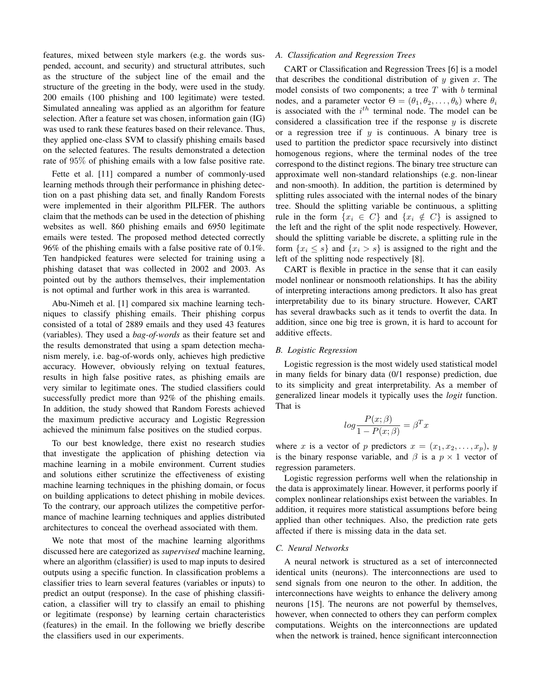features, mixed between style markers (e.g. the words suspended, account, and security) and structural attributes, such as the structure of the subject line of the email and the structure of the greeting in the body, were used in the study. 200 emails (100 phishing and 100 legitimate) were tested. Simulated annealing was applied as an algorithm for feature selection. After a feature set was chosen, information gain (IG) was used to rank these features based on their relevance. Thus, they applied one-class SVM to classify phishing emails based on the selected features. The results demonstrated a detection rate of 95% of phishing emails with a low false positive rate.

Fette et al. [11] compared a number of commonly-used learning methods through their performance in phishing detection on a past phishing data set, and finally Random Forests were implemented in their algorithm PILFER. The authors claim that the methods can be used in the detection of phishing websites as well. 860 phishing emails and 6950 legitimate emails were tested. The proposed method detected correctly 96% of the phishing emails with a false positive rate of 0.1%. Ten handpicked features were selected for training using a phishing dataset that was collected in 2002 and 2003. As pointed out by the authors themselves, their implementation is not optimal and further work in this area is warranted.

Abu-Nimeh et al. [1] compared six machine learning techniques to classify phishing emails. Their phishing corpus consisted of a total of 2889 emails and they used 43 features (variables). They used a *bag-of-words* as their feature set and the results demonstrated that using a spam detection mechanism merely, i.e. bag-of-words only, achieves high predictive accuracy. However, obviously relying on textual features, results in high false positive rates, as phishing emails are very similar to legitimate ones. The studied classifiers could successfully predict more than 92% of the phishing emails. In addition, the study showed that Random Forests achieved the maximum predictive accuracy and Logistic Regression achieved the minimum false positives on the studied corpus.

To our best knowledge, there exist no research studies that investigate the application of phishing detection via machine learning in a mobile environment. Current studies and solutions either scrutinize the effectiveness of existing machine learning techniques in the phishing domain, or focus on building applications to detect phishing in mobile devices. To the contrary, our approach utilizes the competitive performance of machine learning techniques and applies distributed architectures to conceal the overhead associated with them.

We note that most of the machine learning algorithms discussed here are categorized as *supervised* machine learning, where an algorithm (classifier) is used to map inputs to desired outputs using a specific function. In classification problems a classifier tries to learn several features (variables or inputs) to predict an output (response). In the case of phishing classification, a classifier will try to classify an email to phishing or legitimate (response) by learning certain characteristics (features) in the email. In the following we briefly describe the classifiers used in our experiments.

## *A. Classification and Regression Trees*

CART or Classification and Regression Trees [6] is a model that describes the conditional distribution of  $y$  given  $x$ . The model consists of two components; a tree  $T$  with  $b$  terminal nodes, and a parameter vector  $\Theta = (\theta_1, \theta_2, \dots, \theta_b)$  where  $\theta_i$ is associated with the  $i^{th}$  terminal node. The model can be considered a classification tree if the response  $y$  is discrete or a regression tree if  $y$  is continuous. A binary tree is used to partition the predictor space recursively into distinct homogenous regions, where the terminal nodes of the tree correspond to the distinct regions. The binary tree structure can approximate well non-standard relationships (e.g. non-linear and non-smooth). In addition, the partition is determined by splitting rules associated with the internal nodes of the binary tree. Should the splitting variable be continuous, a splitting rule in the form  $\{x_i \in C\}$  and  $\{x_i \notin C\}$  is assigned to the left and the right of the split node respectively. However, should the splitting variable be discrete, a splitting rule in the form  ${x_i \leq s}$  and  ${x_i > s}$  is assigned to the right and the left of the splitting node respectively [8].

CART is flexible in practice in the sense that it can easily model nonlinear or nonsmooth relationships. It has the ability of interpreting interactions among predictors. It also has great interpretability due to its binary structure. However, CART has several drawbacks such as it tends to overfit the data. In addition, since one big tree is grown, it is hard to account for additive effects.

# *B. Logistic Regression*

Logistic regression is the most widely used statistical model in many fields for binary data (0/1 response) prediction, due to its simplicity and great interpretability. As a member of generalized linear models it typically uses the *logit* function. That is

$$
\log \frac{P(x;\beta)}{1 - P(x;\beta)} = \beta^T x
$$

where x is a vector of p predictors  $x = (x_1, x_2, \dots, x_p)$ , y is the binary response variable, and  $\beta$  is a  $p \times 1$  vector of regression parameters.

Logistic regression performs well when the relationship in the data is approximately linear. However, it performs poorly if complex nonlinear relationships exist between the variables. In addition, it requires more statistical assumptions before being applied than other techniques. Also, the prediction rate gets affected if there is missing data in the data set.

# *C. Neural Networks*

A neural network is structured as a set of interconnected identical units (neurons). The interconnections are used to send signals from one neuron to the other. In addition, the interconnections have weights to enhance the delivery among neurons [15]. The neurons are not powerful by themselves, however, when connected to others they can perform complex computations. Weights on the interconnections are updated when the network is trained, hence significant interconnection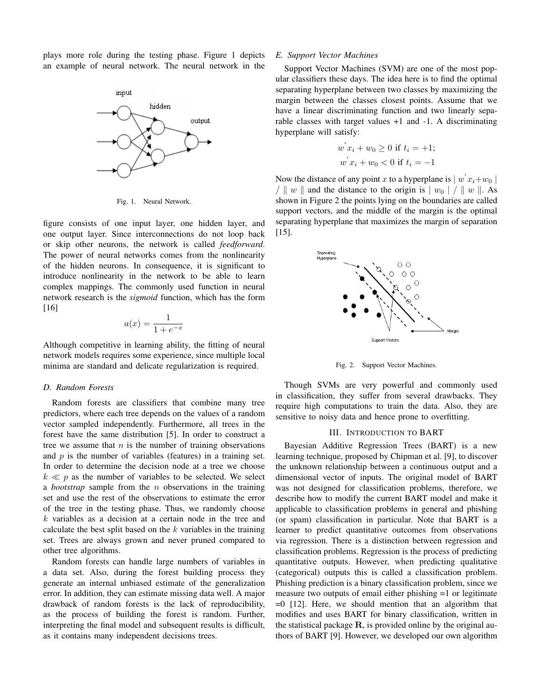plays more role during the testing phase. Figure 1 depicts an example of neural network. The neural network in the



Fig. 1. Neural Network.

figure consists of one input layer, one hidden layer, and one output layer. Since interconnections do not loop back or skip other neurons, the network is called *feedforward*. The power of neural networks comes from the nonlinearity of the hidden neurons. In consequence, it is significant to introduce nonlinearity in the network to be able to learn complex mappings. The commonly used function in neural network research is the *sigmoid* function, which has the form [16]

$$
a(x) = \frac{1}{1 + e^{-x}}
$$

Although competitive in learning ability, the fitting of neural network models requires some experience, since multiple local minima are standard and delicate regularization is required.

### *D. Random Forests*

Random forests are classifiers that combine many tree predictors, where each tree depends on the values of a random vector sampled independently. Furthermore, all trees in the forest have the same distribution [5]. In order to construct a tree we assume that  $n$  is the number of training observations and  $p$  is the number of variables (features) in a training set. In order to determine the decision node at a tree we choose  $k \ll p$  as the number of variables to be selected. We select a *bootstrap* sample from the *n* observations in the training set and use the rest of the observations to estimate the error of the tree in the testing phase. Thus, we randomly choose  $k$  variables as a decision at a certain node in the tree and calculate the best split based on the  $k$  variables in the training set. Trees are always grown and never pruned compared to other tree algorithms.

Random forests can handle large numbers of variables in a data set. Also, during the forest building process they generate an internal unbiased estimate of the generalization error. In addition, they can estimate missing data well. A major drawback of random forests is the lack of reproducibility, as the process of building the forest is random. Further, interpreting the final model and subsequent results is difficult, as it contains many independent decisions trees.

#### *E. Support Vector Machines*

Support Vector Machines (SVM) are one of the most popular classifiers these days. The idea here is to find the optimal separating hyperplane between two classes by maximizing the margin between the classes closest points. Assume that we have a linear discriminating function and two linearly separable classes with target values +1 and -1. A discriminating hyperplane will satisfy:

$$
w'x_i + w_0 \ge 0 \text{ if } t_i = +1;\\ w'x_i + w_0 < 0 \text{ if } t_i = -1
$$

Now the distance of any point x to a hyperplane is  $|w'x_i+w_0|$  $/ \parallel w \parallel$  and the distance to the origin is  $| w_0 | / \parallel w \parallel$ . As shown in Figure 2 the points lying on the boundaries are called support vectors, and the middle of the margin is the optimal separating hyperplane that maximizes the margin of separation [15].



Fig. 2. Support Vector Machines.

Though SVMs are very powerful and commonly used in classification, they suffer from several drawbacks. They require high computations to train the data. Also, they are sensitive to noisy data and hence prone to overfitting.

#### III. INTRODUCTION TO BART

Bayesian Additive Regression Trees (BART) is a new learning technique, proposed by Chipman et al. [9], to discover the unknown relationship between a continuous output and a dimensional vector of inputs. The original model of BART was not designed for classification problems, therefore, we describe how to modify the current BART model and make it applicable to classification problems in general and phishing (or spam) classification in particular. Note that BART is a learner to predict quantitative outcomes from observations via regression. There is a distinction between regression and classification problems. Regression is the process of predicting quantitative outputs. However, when predicting qualitative (categorical) outputs this is called a classification problem. Phishing prediction is a binary classification problem, since we measure two outputs of email either phishing =1 or legitimate  $=0$  [12]. Here, we should mention that an algorithm that modifies and uses BART for binary classification, written in the statistical package R, is provided online by the original authors of BART [9]. However, we developed our own algorithm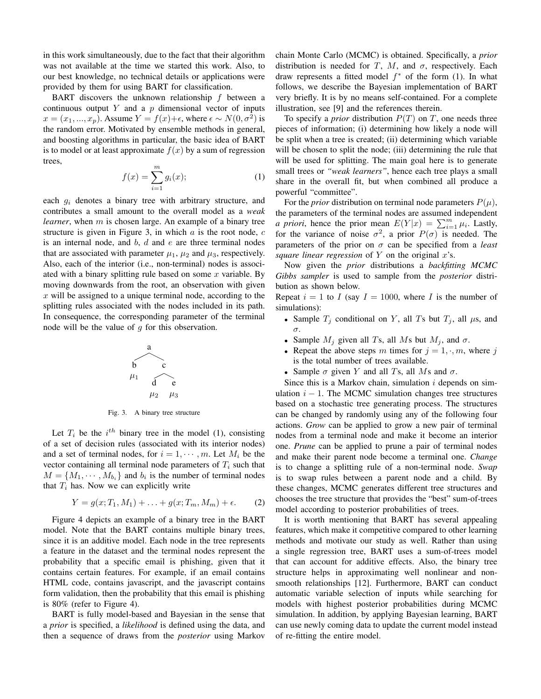in this work simultaneously, due to the fact that their algorithm was not available at the time we started this work. Also, to our best knowledge, no technical details or applications were provided by them for using BART for classification.

BART discovers the unknown relationship  $f$  between a continuous output  $Y$  and a  $p$  dimensional vector of inputs  $x = (x_1, ..., x_p)$ . Assume  $Y = f(x)+\epsilon$ , where  $\epsilon \sim N(0, \sigma^2)$  is the random error. Motivated by ensemble methods in general, and boosting algorithms in particular, the basic idea of BART is to model or at least approximate  $f(x)$  by a sum of regression trees,

$$
f(x) = \sum_{i=1}^{m} g_i(x);
$$
 (1)

each  $g_i$  denotes a binary tree with arbitrary structure, and contributes a small amount to the overall model as a *weak learner*, when m is chosen large. An example of a binary tree structure is given in Figure 3, in which  $a$  is the root node,  $c$ is an internal node, and  $b$ ,  $d$  and  $e$  are three terminal nodes that are associated with parameter  $\mu_1$ ,  $\mu_2$  and  $\mu_3$ , respectively. Also, each of the interior (i.e., non-terminal) nodes is associated with a binary splitting rule based on some  $x$  variable. By moving downwards from the root, an observation with given  $x$  will be assigned to a unique terminal node, according to the splitting rules associated with the nodes included in its path. In consequence, the corresponding parameter of the terminal node will be the value of  $g$  for this observation.



Fig. 3. A binary tree structure

Let  $T_i$  be the  $i^{th}$  binary tree in the model (1), consisting of a set of decision rules (associated with its interior nodes) and a set of terminal nodes, for  $i = 1, \dots, m$ . Let  $M_i$  be the vector containing all terminal node parameters of  $T_i$  such that  $M = \{M_1, \dots, M_{b_i}\}\$ and  $b_i$  is the number of terminal nodes that  $T_i$  has. Now we can explicitly write

$$
Y = g(x; T_1, M_1) + \ldots + g(x; T_m, M_m) + \epsilon. \tag{2}
$$

Figure 4 depicts an example of a binary tree in the BART model. Note that the BART contains multiple binary trees, since it is an additive model. Each node in the tree represents a feature in the dataset and the terminal nodes represent the probability that a specific email is phishing, given that it contains certain features. For example, if an email contains HTML code, contains javascript, and the javascript contains form validation, then the probability that this email is phishing is 80% (refer to Figure 4).

BART is fully model-based and Bayesian in the sense that a *prior* is specified, a *likelihood* is defined using the data, and then a sequence of draws from the *posterior* using Markov chain Monte Carlo (MCMC) is obtained. Specifically, a *prior* distribution is needed for T, M, and  $\sigma$ , respectively. Each draw represents a fitted model  $f^*$  of the form (1). In what follows, we describe the Bayesian implementation of BART very briefly. It is by no means self-contained. For a complete illustration, see [9] and the references therein.

To specify a *prior* distribution  $P(T)$  on T, one needs three pieces of information; (i) determining how likely a node will be split when a tree is created; (ii) determining which variable will be chosen to split the node; (iii) determining the rule that will be used for splitting. The main goal here is to generate small trees or *"weak learners"*, hence each tree plays a small share in the overall fit, but when combined all produce a powerful "committee".

For the *prior* distribution on terminal node parameters  $P(\mu)$ , the parameters of the terminal nodes are assumed independent *a priori*, hence the prior mean  $E(Y|x) = \sum_{i=1}^{m} \mu_i$ . Lastly, for the variance of noise  $\sigma^2$ , a prior  $P(\sigma)$  is needed. The parameters of the prior on  $\sigma$  can be specified from a *least square linear regression* of Y on the original  $x$ 's.

Now given the *prior* distributions a *backfitting MCMC Gibbs sampler* is used to sample from the *posterior* distribution as shown below.

Repeat  $i = 1$  to I (say  $I = 1000$ , where I is the number of simulations):

- Sample  $T_j$  conditional on Y, all Ts but  $T_j$ , all  $\mu$ s, and σ.
- Sample  $M_j$  given all Ts, all Ms but  $M_j$ , and  $\sigma$ .
- Repeat the above steps m times for  $j = 1, \cdot, m$ , where j is the total number of trees available.
- Sample  $\sigma$  given Y and all Ts, all Ms and  $\sigma$ .

Since this is a Markov chain, simulation  $i$  depends on simulation  $i - 1$ . The MCMC simulation changes tree structures based on a stochastic tree generating process. The structures can be changed by randomly using any of the following four actions. *Grow* can be applied to grow a new pair of terminal nodes from a terminal node and make it become an interior one. *Prune* can be applied to prune a pair of terminal nodes and make their parent node become a terminal one. *Change* is to change a splitting rule of a non-terminal node. *Swap* is to swap rules between a parent node and a child. By these changes, MCMC generates different tree structures and chooses the tree structure that provides the "best" sum-of-trees model according to posterior probabilities of trees.

It is worth mentioning that BART has several appealing features, which make it competitive compared to other learning methods and motivate our study as well. Rather than using a single regression tree, BART uses a sum-of-trees model that can account for additive effects. Also, the binary tree structure helps in approximating well nonlinear and nonsmooth relationships [12]. Furthermore, BART can conduct automatic variable selection of inputs while searching for models with highest posterior probabilities during MCMC simulation. In addition, by applying Bayesian learning, BART can use newly coming data to update the current model instead of re-fitting the entire model.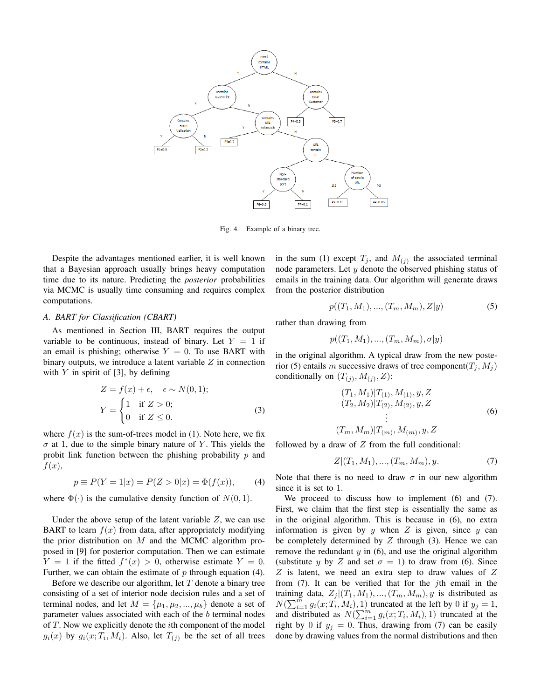

Fig. 4. Example of a binary tree.

Despite the advantages mentioned earlier, it is well known that a Bayesian approach usually brings heavy computation time due to its nature. Predicting the *posterior* probabilities via MCMC is usually time consuming and requires complex computations.

# *A. BART for Classification (CBART)*

As mentioned in Section III, BART requires the output variable to be continuous, instead of binary. Let  $Y = 1$  if an email is phishing; otherwise  $Y = 0$ . To use BART with binary outputs, we introduce a latent variable  $Z$  in connection with  $Y$  in spirit of [3], by defining

$$
Z = f(x) + \epsilon, \quad \epsilon \sim N(0, 1);
$$
  
\n
$$
Y = \begin{cases} 1 & \text{if } Z > 0; \\ 0 & \text{if } Z \le 0. \end{cases}
$$
 (3)

where  $f(x)$  is the sum-of-trees model in (1). Note here, we fix  $\sigma$  at 1, due to the simple binary nature of Y. This yields the probit link function between the phishing probability  $p$  and  $f(x),$ 

$$
p \equiv P(Y = 1|x) = P(Z > 0|x) = \Phi(f(x)),\tag{4}
$$

where  $\Phi(\cdot)$  is the cumulative density function of  $N(0, 1)$ .

Under the above setup of the latent variable  $Z$ , we can use BART to learn  $f(x)$  from data, after appropriately modifying the prior distribution on  $M$  and the MCMC algorithm proposed in [9] for posterior computation. Then we can estimate  $Y = 1$  if the fitted  $f^*(x) > 0$ , otherwise estimate  $Y = 0$ . Further, we can obtain the estimate of  $p$  through equation (4).

Before we describe our algorithm, let  $T$  denote a binary tree consisting of a set of interior node decision rules and a set of terminal nodes, and let  $M = {\mu_1, \mu_2, ..., \mu_b}$  denote a set of parameter values associated with each of the b terminal nodes of  $T$ . Now we explicitly denote the *i*th component of the model  $g_i(x)$  by  $g_i(x; T_i, M_i)$ . Also, let  $T_{(j)}$  be the set of all trees

in the sum (1) except  $T_j$ , and  $M_{(j)}$  the associated terminal node parameters. Let y denote the observed phishing status of emails in the training data. Our algorithm will generate draws from the posterior distribution

$$
p((T_1, M_1), ..., (T_m, M_m), Z|y)
$$
\n(5)

rather than drawing from

$$
p((T_1,M_1),\ldots,(T_m,M_m),\sigma|y)
$$

in the original algorithm. A typical draw from the new posterior (5) entails m successive draws of tree component( $T_i, M_i$ ) conditionally on  $(T_{(j)}, M_{(j)}, Z)$ :

$$
(T_1, M_1)|T_{(1)}, M_{(1)}, y, Z
$$
  
\n
$$
(T_2, M_2)|T_{(2)}, M_{(2)}, y, Z
$$
  
\n
$$
\vdots
$$
  
\n
$$
(T_m, M_m)|T_{(m)}, M_{(m)}, y, Z
$$
\n(6)

followed by a draw of  $Z$  from the full conditional:

$$
Z|(T_1, M_1), \dots, (T_m, M_m), y. \tag{7}
$$

Note that there is no need to draw  $\sigma$  in our new algorithm since it is set to 1.

We proceed to discuss how to implement (6) and (7). First, we claim that the first step is essentially the same as in the original algorithm. This is because in (6), no extra information is given by y when Z is given, since y can be completely determined by  $Z$  through (3). Hence we can remove the redundant  $y$  in (6), and use the original algorithm (substitute y by Z and set  $\sigma = 1$ ) to draw from (6). Since  $Z$  is latent, we need an extra step to draw values of  $Z$ from  $(7)$ . It can be verified that for the *j*th email in the training data,  $Z_j | (T_1, M_1), ..., (T_m, M_m)$ , y is distributed as  $N(\sum_{i=1}^{m} g_i(x; T_i, M_i), 1)$  truncated at the left by 0 if  $y_j = 1$ , and distributed as  $N(\sum_{i=1}^m g_i(x; T_i, M_i), 1)$  truncated at the right by 0 if  $y_j = 0$ . Thus, drawing from (7) can be easily done by drawing values from the normal distributions and then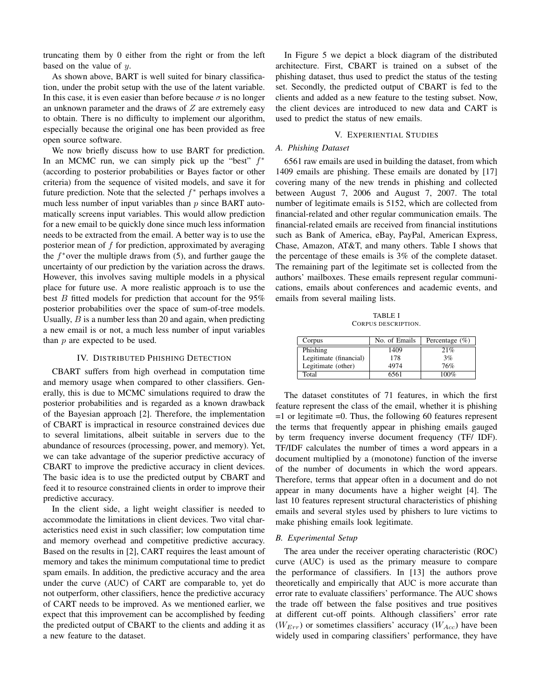truncating them by 0 either from the right or from the left based on the value of  $y$ .

As shown above, BART is well suited for binary classification, under the probit setup with the use of the latent variable. In this case, it is even easier than before because  $\sigma$  is no longer an unknown parameter and the draws of  $Z$  are extremely easy to obtain. There is no difficulty to implement our algorithm, especially because the original one has been provided as free open source software.

We now briefly discuss how to use BART for prediction. In an MCMC run, we can simply pick up the "best"  $f^*$ (according to posterior probabilities or Bayes factor or other criteria) from the sequence of visited models, and save it for future prediction. Note that the selected  $f^*$  perhaps involves a much less number of input variables than  $p$  since BART automatically screens input variables. This would allow prediction for a new email to be quickly done since much less information needs to be extracted from the email. A better way is to use the posterior mean of  $f$  for prediction, approximated by averaging the  $f^*$  over the multiple draws from (5), and further gauge the uncertainty of our prediction by the variation across the draws. However, this involves saving multiple models in a physical place for future use. A more realistic approach is to use the best B fitted models for prediction that account for the 95% posterior probabilities over the space of sum-of-tree models. Usually,  $B$  is a number less than 20 and again, when predicting a new email is or not, a much less number of input variables than  $p$  are expected to be used.

#### IV. DISTRIBUTED PHISHING DETECTION

CBART suffers from high overhead in computation time and memory usage when compared to other classifiers. Generally, this is due to MCMC simulations required to draw the posterior probabilities and is regarded as a known drawback of the Bayesian approach [2]. Therefore, the implementation of CBART is impractical in resource constrained devices due to several limitations, albeit suitable in servers due to the abundance of resources (processing, power, and memory). Yet, we can take advantage of the superior predictive accuracy of CBART to improve the predictive accuracy in client devices. The basic idea is to use the predicted output by CBART and feed it to resource constrained clients in order to improve their predictive accuracy.

In the client side, a light weight classifier is needed to accommodate the limitations in client devices. Two vital characteristics need exist in such classifier; low computation time and memory overhead and competitive predictive accuracy. Based on the results in [2], CART requires the least amount of memory and takes the minimum computational time to predict spam emails. In addition, the predictive accuracy and the area under the curve (AUC) of CART are comparable to, yet do not outperform, other classifiers, hence the predictive accuracy of CART needs to be improved. As we mentioned earlier, we expect that this improvement can be accomplished by feeding the predicted output of CBART to the clients and adding it as a new feature to the dataset.

In Figure 5 we depict a block diagram of the distributed architecture. First, CBART is trained on a subset of the phishing dataset, thus used to predict the status of the testing set. Secondly, the predicted output of CBART is fed to the clients and added as a new feature to the testing subset. Now, the client devices are introduced to new data and CART is used to predict the status of new emails.

# V. EXPERIENTIAL STUDIES

## *A. Phishing Dataset*

6561 raw emails are used in building the dataset, from which 1409 emails are phishing. These emails are donated by [17] covering many of the new trends in phishing and collected between August 7, 2006 and August 7, 2007. The total number of legitimate emails is 5152, which are collected from financial-related and other regular communication emails. The financial-related emails are received from financial institutions such as Bank of America, eBay, PayPal, American Express, Chase, Amazon, AT&T, and many others. Table I shows that the percentage of these emails is 3% of the complete dataset. The remaining part of the legitimate set is collected from the authors' mailboxes. These emails represent regular communications, emails about conferences and academic events, and emails from several mailing lists.

TABLE I CORPUS DESCRIPTION.

| Corpus                 | No. of Emails | Percentage $(\% )$ |
|------------------------|---------------|--------------------|
| Phishing               | 1409          | 21%                |
| Legitimate (financial) | 178           | 3%                 |
| Legitimate (other)     | 4974          | 76%                |
| Total                  | 6561          | 100%               |

The dataset constitutes of 71 features, in which the first feature represent the class of the email, whether it is phishing  $=1$  or legitimate  $=0$ . Thus, the following 60 features represent the terms that frequently appear in phishing emails gauged by term frequency inverse document frequency (TF/ IDF). TF/IDF calculates the number of times a word appears in a document multiplied by a (monotone) function of the inverse of the number of documents in which the word appears. Therefore, terms that appear often in a document and do not appear in many documents have a higher weight [4]. The last 10 features represent structural characteristics of phishing emails and several styles used by phishers to lure victims to make phishing emails look legitimate.

## *B. Experimental Setup*

The area under the receiver operating characteristic (ROC) curve (AUC) is used as the primary measure to compare the performance of classifiers. In [13] the authors prove theoretically and empirically that AUC is more accurate than error rate to evaluate classifiers' performance. The AUC shows the trade off between the false positives and true positives at different cut-off points. Although classifiers' error rate  $(W_{Err})$  or sometimes classifiers' accuracy  $(W_{Acc})$  have been widely used in comparing classifiers' performance, they have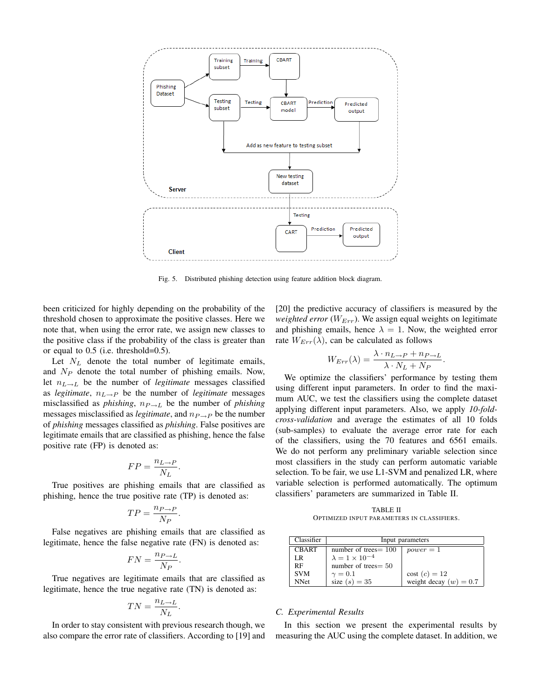

Fig. 5. Distributed phishing detection using feature addition block diagram.

been criticized for highly depending on the probability of the threshold chosen to approximate the positive classes. Here we note that, when using the error rate, we assign new classes to the positive class if the probability of the class is greater than or equal to 0.5 (i.e. threshold=0.5).

Let  $N_L$  denote the total number of legitimate emails, and  $N_P$  denote the total number of phishing emails. Now, let nL→<sup>L</sup> be the number of *legitimate* messages classified as *legitimate*,  $n_{L\rightarrow P}$  be the number of *legitimate* messages misclassified as *phishing*,  $n_{P\rightarrow L}$  be the number of *phishing* messages misclassified as *legitimate*, and  $n_{P\rightarrow P}$  be the number of *phishing* messages classified as *phishing*. False positives are legitimate emails that are classified as phishing, hence the false positive rate (FP) is denoted as:

$$
FP = \frac{n_{L \to P}}{N_L}.
$$

True positives are phishing emails that are classified as phishing, hence the true positive rate (TP) is denoted as:

$$
TP = \frac{n_{P \rightarrow P}}{N_P}.
$$

False negatives are phishing emails that are classified as legitimate, hence the false negative rate (FN) is denoted as:

$$
FN = \frac{n_{P \rightarrow L}}{N_P}.
$$

True negatives are legitimate emails that are classified as legitimate, hence the true negative rate (TN) is denoted as:

$$
TN = \frac{n_{L \to L}}{N_L}.
$$

In order to stay consistent with previous research though, we also compare the error rate of classifiers. According to [19] and [20] the predictive accuracy of classifiers is measured by the *weighted error* ( $W_{Err}$ ). We assign equal weights on legitimate and phishing emails, hence  $\lambda = 1$ . Now, the weighted error rate  $W_{Err}(\lambda)$ , can be calculated as follows

$$
W_{Err}(\lambda) = \frac{\lambda \cdot n_{L \to P} + n_{P \to L}}{\lambda \cdot N_L + N_P}.
$$

We optimize the classifiers' performance by testing them using different input parameters. In order to find the maximum AUC, we test the classifiers using the complete dataset applying different input parameters. Also, we apply *10-foldcross-validation* and average the estimates of all 10 folds (sub-samples) to evaluate the average error rate for each of the classifiers, using the 70 features and 6561 emails. We do not perform any preliminary variable selection since most classifiers in the study can perform automatic variable selection. To be fair, we use L1-SVM and penalized LR, where variable selection is performed automatically. The optimum classifiers' parameters are summarized in Table II.

TABLE II OPTIMIZED INPUT PARAMETERS IN CLASSIFIERS.

| Classifier   | Input parameters             |                          |
|--------------|------------------------------|--------------------------|
| <b>CBART</b> | number of trees $= 100$      | $power = 1$              |
| LR           | $\lambda = 1 \times 10^{-4}$ |                          |
| RF           | number of trees $= 50$       |                          |
| <b>SVM</b>   | $\gamma=0.1$                 | $\cos(t) = 12$           |
| NNet         | size $(s) = 35$              | weight decay $(w) = 0.7$ |

## *C. Experimental Results*

In this section we present the experimental results by measuring the AUC using the complete dataset. In addition, we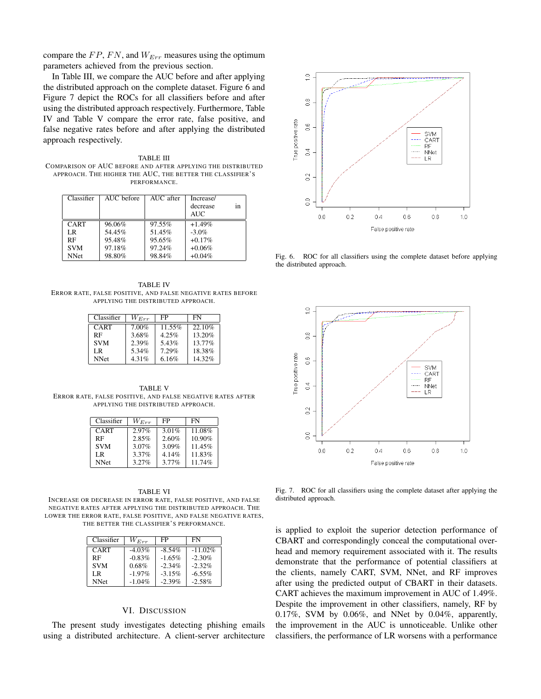compare the  $FP$ ,  $FN$ , and  $W_{Err}$  measures using the optimum parameters achieved from the previous section.

In Table III, we compare the AUC before and after applying the distributed approach on the complete dataset. Figure 6 and Figure 7 depict the ROCs for all classifiers before and after using the distributed approach respectively. Furthermore, Table IV and Table V compare the error rate, false positive, and false negative rates before and after applying the distributed approach respectively.

TABLE III COMPARISON OF AUC BEFORE AND AFTER APPLYING THE DISTRIBUTED APPROACH. THE HIGHER THE AUC, THE BETTER THE CLASSIFIER'S PERFORMANCE.

| Classifier  | AUC before | AUC after | Increase/<br>decrease<br><b>AUC</b> | in |
|-------------|------------|-----------|-------------------------------------|----|
| <b>CART</b> | 96.06%     | 97.55%    | $+1.49%$                            |    |
| LR          | 54.45%     | 51.45%    | $-3.0\%$                            |    |
| RF          | 95.48%     | 95.65%    | $+0.17%$                            |    |
| <b>SVM</b>  | 97.18%     | 97.24%    | $+0.06%$                            |    |
| <b>NNet</b> | 98.80%     | 98.84%    | $+0.04%$                            |    |

TABLE IV ERROR RATE, FALSE POSITIVE, AND FALSE NEGATIVE RATES BEFORE APPLYING THE DISTRIBUTED APPROACH.

| Classifier  | $W_{Err}$ | FP     | FN     |
|-------------|-----------|--------|--------|
| CART        | 7.00%     | 11.55% | 22.10% |
| RF          | 3.68%     | 4.25%  | 13.20% |
| <b>SVM</b>  | 2.39%     | 5.43%  | 13.77% |
| LR          | 5.34%     | 7.29%  | 18.38% |
| <b>NNet</b> | 4.31%     | 6.16%  | 14.32% |

TABLE V ERROR RATE, FALSE POSITIVE, AND FALSE NEGATIVE RATES AFTER APPLYING THE DISTRIBUTED APPROACH.

| Classifier  | $W_{Err}$ | FP    | FN     |
|-------------|-----------|-------|--------|
| CART        | 2.97%     | 3.01% | 11.08% |
| RF          | 2.85%     | 2.60% | 10.90% |
| <b>SVM</b>  | 3.07%     | 3.09% | 11.45% |
| LR          | 3.37%     | 4.14% | 11.83% |
| <b>NNet</b> | 3.27%     | 3.77% | 11.74% |

TABLE VI INCREASE OR DECREASE IN ERROR RATE, FALSE POSITIVE, AND FALSE NEGATIVE RATES AFTER APPLYING THE DISTRIBUTED APPROACH. THE LOWER THE ERROR RATE, FALSE POSITIVE, AND FALSE NEGATIVE RATES, THE BETTER THE CLASSIFIER'S PERFORMANCE.

| Classifier  | $W_{Err}$ | FP        | FN        |
|-------------|-----------|-----------|-----------|
| <b>CART</b> | $-4.03\%$ | $-8.54%$  | $-11.02%$ |
| RF          | $-0.83%$  | $-1.65\%$ | $-2.30%$  |
| <b>SVM</b>  | 0.68%     | $-2.34%$  | $-2.32%$  |
| LR          | $-1.97%$  | $-3.15%$  | $-6.55\%$ |
| <b>NNet</b> | $-1.04%$  | $-2.39%$  | $-2.58%$  |

# VI. DISCUSSION

The present study investigates detecting phishing emails using a distributed architecture. A client-server architecture



Fig. 6. ROC for all classifiers using the complete dataset before applying the distributed approach.



Fig. 7. ROC for all classifiers using the complete dataset after applying the distributed approach.

is applied to exploit the superior detection performance of CBART and correspondingly conceal the computational overhead and memory requirement associated with it. The results demonstrate that the performance of potential classifiers at the clients, namely CART, SVM, NNet, and RF improves after using the predicted output of CBART in their datasets. CART achieves the maximum improvement in AUC of 1.49%. Despite the improvement in other classifiers, namely, RF by 0.17%, SVM by 0.06%, and NNet by 0.04%, apparently, the improvement in the AUC is unnoticeable. Unlike other classifiers, the performance of LR worsens with a performance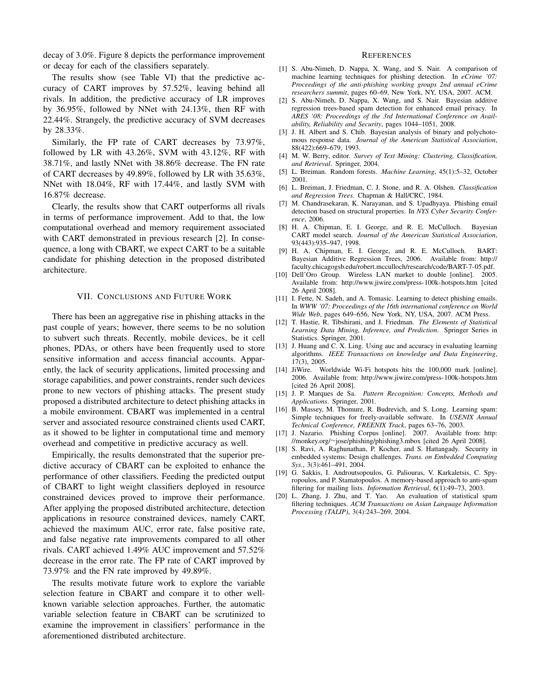decay of 3.0%. Figure 8 depicts the performance improvement or decay for each of the classifiers separately.

The results show (see Table VI) that the predictive accuracy of CART improves by 57.52%, leaving behind all rivals. In addition, the predictive accuracy of LR improves by 36.95%, followed by NNet with 24.13%, then RF with 22.44%. Strangely, the predictive accuracy of SVM decreases by 28.33%.

Similarly, the FP rate of CART decreases by 73.97%, followed by LR with 43.26%, SVM with 43.12%, RF with 38.71%, and lastly NNet with 38.86% decrease. The FN rate of CART decreases by 49.89%, followed by LR with 35.63%, NNet with 18.04%, RF with 17.44%, and lastly SVM with 16.87% decrease.

Clearly, the results show that CART outperforms all rivals in terms of performance improvement. Add to that, the low computational overhead and memory requirement associated with CART demonstrated in previous research [2]. In consequence, a long with CBART, we expect CART to be a suitable candidate for phishing detection in the proposed distributed architecture.

# VII. CONCLUSIONS AND FUTURE WORK

There has been an aggregative rise in phishing attacks in the past couple of years; however, there seems to be no solution to subvert such threats. Recently, mobile devices, be it cell phones, PDAs, or others have been frequently used to store sensitive information and access financial accounts. Apparently, the lack of security applications, limited processing and storage capabilities, and power constraints, render such devices prone to new vectors of phishing attacks. The present study proposed a distributed architecture to detect phishing attacks in a mobile environment. CBART was implemented in a central server and associated resource constrained clients used CART, as it showed to be lighter in computational time and memory overhead and competitive in predictive accuracy as well.

Empirically, the results demonstrated that the superior predictive accuracy of CBART can be exploited to enhance the performance of other classifiers. Feeding the predicted output of CBART to light weight classifiers deployed in resource constrained devices proved to improve their performance. After applying the proposed distributed architecture, detection applications in resource constrained devices, namely CART, achieved the maximum AUC, error rate, false positive rate, and false negative rate improvements compared to all other rivals. CART achieved 1.49% AUC improvement and 57.52% decrease in the error rate. The FP rate of CART improved by 73.97% and the FN rate improved by 49.89%.

The results motivate future work to explore the variable selection feature in CBART and compare it to other wellknown variable selection approaches. Further, the automatic variable selection feature in CBART can be scrutinized to examine the improvement in classifiers' performance in the aforementioned distributed architecture.

#### **REFERENCES**

- [1] S. Abu-Nimeh, D. Nappa, X. Wang, and S. Nair. A comparison of machine learning techniques for phishing detection. In *eCrime '07: Proceedings of the anti-phishing working groups 2nd annual eCrime researchers summit*, pages 60–69, New York, NY, USA, 2007. ACM.
- [2] S. Abu-Nimeh, D. Nappa, X. Wang, and S. Nair. Bayesian additive regression trees-based spam detection for enhanced email privacy. In *ARES '08: Proceedings of the 3rd International Conference on Availability, Reliability and Security*, pages 1044–1051, 2008.
- [3] J. H. Albert and S. Chib. Bayesian analysis of binary and polychotomous response data. *Journal of the American Statistical Association*, 88(422):669–679, 1993.
- [4] M. W. Berry, editor. *Survey of Text Mining: Clustering, Classification, and Retrieval*. Springer, 2004.
- [5] L. Breiman. Random forests. *Machine Learning*, 45(1):5–32, October 2001.
- [6] L. Breiman, J. Friedman, C. J. Stone, and R. A. Olshen. *Classification and Regression Trees*. Chapman & Hall/CRC, 1984.
- [7] M. Chandrasekaran, K. Narayanan, and S. Upadhyaya. Phishing email detection based on structural properties. In *NYS Cyber Security Conference*, 2006.
- [8] H. A. Chipman, E. I. George, and R. E. McCulloch. Bayesian CART model search. *Journal of the American Statistical Association*, 93(443):935–947, 1998.
- [9] H. A. Chipman, E. I. George, and R. E. McCulloch. BART: Bayesian Additive Regression Trees, 2006. Available from: http:// faculty.chicagogsb.edu/robert.mcculloch/research/code/BART-7-05.pdf.
- [10] Dell'Oro Group. Wireless LAN market to double [online]. 2005. Available from: http://www.jiwire.com/press-100k-hotspots.htm [cited 26 April 2008].
- [11] I. Fette, N. Sadeh, and A. Tomasic. Learning to detect phishing emails. In *WWW '07: Proceedings of the 16th international conference on World Wide Web*, pages 649–656, New York, NY, USA, 2007. ACM Press.
- [12] T. Hastie, R. Tibshirani, and J. Friedman. *The Elements of Statistical Learning Data Mining, Inference, and Prediction*. Springer Series in Statistics. Springer, 2001.
- [13] J. Huang and C. X. Ling. Using auc and accuracy in evaluating learning algorithms. *IEEE Transactions on knowledge and Data Engineering*, 17(3), 2005.
- [14] JiWire. Worldwide Wi-Fi hotspots hits the 100,000 mark [online]. 2006. Available from: http://www.jiwire.com/press-100k-hotspots.htm [cited 26 April 2008].
- [15] J. P. Marques de Sa. *Pattern Recognition: Concepts, Methods and Applications*. Springer, 2001.
- [16] B. Massey, M. Thomure, R. Budrevich, and S. Long. Learning spam: Simple techniques for freely-available software. In *USENIX Annual Technical Conference, FREENIX Track*, pages 63–76, 2003.
- [17] J. Nazario. Phishing Corpus [online]. 2007. Available from: http: //monkey.org/∼jose/phishing/phishing3.mbox [cited 26 April 2008].
- [18] S. Ravi, A. Raghunathan, P. Kocher, and S. Hattangady. Security in embedded systems: Design challenges. *Trans. on Embedded Computing Sys.*, 3(3):461–491, 2004.
- [19] G. Sakkis, I. Androutsopoulos, G. Paliouras, V. Karkaletsis, C. Spyropoulos, and P. Stamatopoulos. A memory-based approach to anti-spam filtering for mailing lists. *Information Retrieval*, 6(1):49–73, 2003.
- [20] L. Zhang, J. Zhu, and T. Yao. An evaluation of statistical spam filtering techniques. *ACM Transactions on Asian Language Information Processing (TALIP)*, 3(4):243–269, 2004.